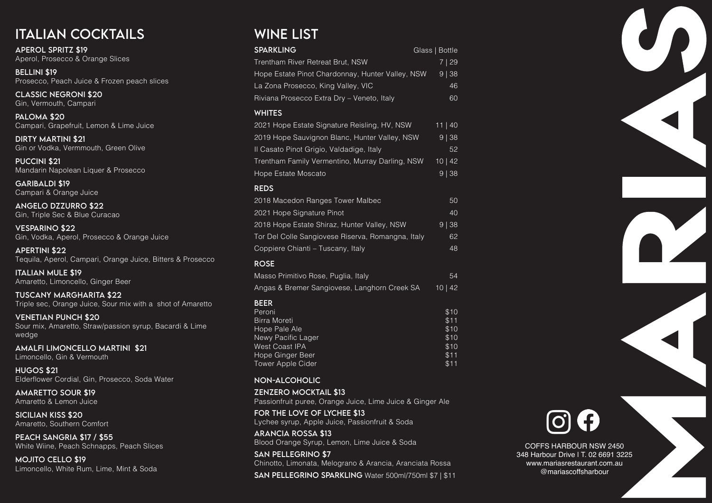# Italian Cocktails

Aperol Spritz \$19 Aperol, Prosecco & Orange Slices

Bellini \$19 Prosecco, Peach Juice & Frozen peach slices

Classic Negroni \$20 Gin, Vermouth, Campari

Paloma \$20 Campari, Grapefruit, Lemon & Lime Juice

Dirty Martini \$21 Gin or Vodka, Vermmouth, Green Olive

Puccini \$21 Mandarin Napolean Liquer & Prosecco

Garibaldi \$19 Campari & Orange Juice

Angelo Dzzurro \$22 Gin, Triple Sec & Blue Curacao

Vesparino \$22 Gin, Vodka, Aperol, Prosecco & Orange Juice

PEACH SANGRIA \$17 / \$55 White Wiine, Peach Schnapps, Peach Slices

Apertini \$22 Tequila, Aperol, Campari, Orange Juice, Bitters & Prosecco

Italian Mule \$19 Amaretto, Limoncello, Ginger Beer

Tuscany Margharita \$22 Triple sec, Orange Juice, Sour mix with a shot of Amaretto

Venetian Punch \$20 Sour mix, Amaretto, Straw/passion syrup, Bacardi & Lime wedge

Amalfi Limoncello Martini \$21 Limoncello, Gin & Vermouth

Hugos \$21 Elderflower Cordial, Gin, Prosecco, Soda Water

Amaretto Sour \$19 Amaretto & Lemon Juice

Sicilian Kiss \$20 Amaretto, Southern Comfort

Mojito Cello \$19 Limoncello, White Rum, Lime, Mint & Soda

# WINE LIST

COFFS HARBOUR NSW 2450 348 Harbour Drive | T. 02 6691 3225 www.mariasrestaurant.com.au @mariascoffsharbour





| <b>SPARKLING</b>                                                                                                                                                                                                                     | Glass   Bottle                                       |
|--------------------------------------------------------------------------------------------------------------------------------------------------------------------------------------------------------------------------------------|------------------------------------------------------|
| Trentham River Retreat Brut, NSW<br>Hope Estate Pinot Chardonnay, Hunter Valley, NSW<br>La Zona Prosecco, King Valley, VIC                                                                                                           | 7   29<br>9   38<br>46                               |
| Riviana Prosecco Extra Dry - Veneto, Italy                                                                                                                                                                                           | 60                                                   |
| <b>WHITES</b><br>2021 Hope Estate Signature Reisling, HV, NSW<br>2019 Hope Sauvignon Blanc, Hunter Valley, NSW<br>Il Casato Pinot Grigio, Valdadige, Italy<br>Trentham Family Vermentino, Murray Darling, NSW<br>Hope Estate Moscato | 11 40<br>9   38<br>52<br>10   42<br>$9$   38         |
| <b>REDS</b>                                                                                                                                                                                                                          |                                                      |
| 2018 Macedon Ranges Tower Malbec<br>2021 Hope Signature Pinot<br>2018 Hope Estate Shiraz, Hunter Valley, NSW<br>Tor Del Colle Sangiovese Riserva, Romangna, Italy<br>Coppiere Chianti - Tuscany, Italy                               | 50<br>40<br>38<br>9 <sup>1</sup><br>62<br>48         |
| <b>ROSE</b>                                                                                                                                                                                                                          |                                                      |
| Masso Primitivo Rose, Puglia, Italy                                                                                                                                                                                                  | 54                                                   |
| Angas & Bremer Sangiovese, Langhorn Creek SA                                                                                                                                                                                         | 10   42                                              |
| <b>BEER</b><br>Peroni<br><b>Birra Moreti</b><br>Hope Pale Ale<br>Newy Pacific Lager<br><b>West Coast IPA</b><br>Hope Ginger Beer<br><b>Tower Apple Cider</b>                                                                         | \$10<br>\$11<br>\$10<br>\$10<br>\$10<br>\$11<br>\$11 |
| <b>NON-ALCOHOLIC</b>                                                                                                                                                                                                                 |                                                      |
| <b>ZENZERO MOCKTAIL \$13</b><br>Passionfruit puree, Orange Juice, Lime Juice & Ginger Ale                                                                                                                                            |                                                      |
| FOR THE LOVE OF LYCHEE \$13<br>Lychee syrup, Apple Juice, Passionfruit & Soda                                                                                                                                                        |                                                      |
| <b>ARANCIA ROSSA \$13</b><br>Blood Orange Syrup, Lemon, Lime Juice & Soda                                                                                                                                                            |                                                      |
| <b>SAN PELLEGRINO \$7</b><br>Chinotto, Limonata, Melograno & Arancia, Aranciata Rossa                                                                                                                                                |                                                      |
| SAN PELLEGRINO SPARKLING Water 500ml/750ml \$7   \$11                                                                                                                                                                                |                                                      |